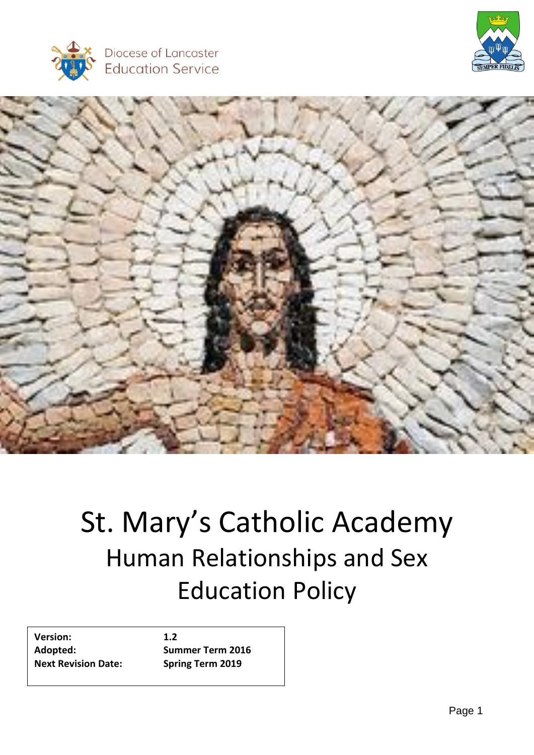





# St. Mary's Catholic Academy Human Relationships and Sex Education Policy

**Version: 1.2 Adopted: Summer Term 2016 Next Revision Date: Spring Term 2019**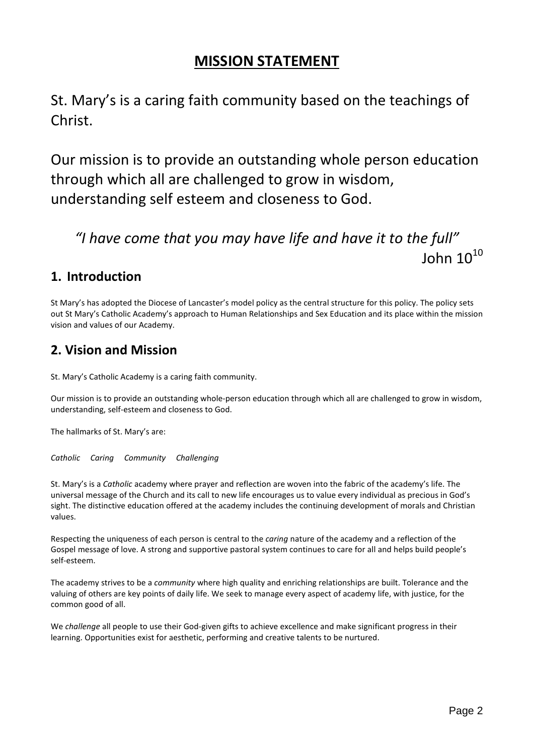# **MISSION STATEMENT**

St. Mary's is a caring faith community based on the teachings of Christ.

Our mission is to provide an outstanding whole person education through which all are challenged to grow in wisdom, understanding self esteem and closeness to God.

# *"I have come that you may have life and have it to the full"* John  $10^{10}$

### **1. Introduction**

St Mary's has adopted the Diocese of Lancaster's model policy as the central structure for this policy. The policy sets out St Mary's Catholic Academy's approach to Human Relationships and Sex Education and its place within the mission vision and values of our Academy.

### **2. Vision and Mission**

St. Mary's Catholic Academy is a caring faith community.

Our mission is to provide an outstanding whole-person education through which all are challenged to grow in wisdom, understanding, self-esteem and closeness to God.

The hallmarks of St. Mary's are:

*Catholic Caring Community Challenging*

St. Mary's is a *Catholic* academy where prayer and reflection are woven into the fabric of the academy's life. The universal message of the Church and its call to new life encourages us to value every individual as precious in God's sight. The distinctive education offered at the academy includes the continuing development of morals and Christian values.

Respecting the uniqueness of each person is central to the *caring* nature of the academy and a reflection of the Gospel message of love. A strong and supportive pastoral system continues to care for all and helps build people's self-esteem.

The academy strives to be a *community* where high quality and enriching relationships are built. Tolerance and the valuing of others are key points of daily life. We seek to manage every aspect of academy life, with justice, for the common good of all.

We *challenge* all people to use their God-given gifts to achieve excellence and make significant progress in their learning. Opportunities exist for aesthetic, performing and creative talents to be nurtured.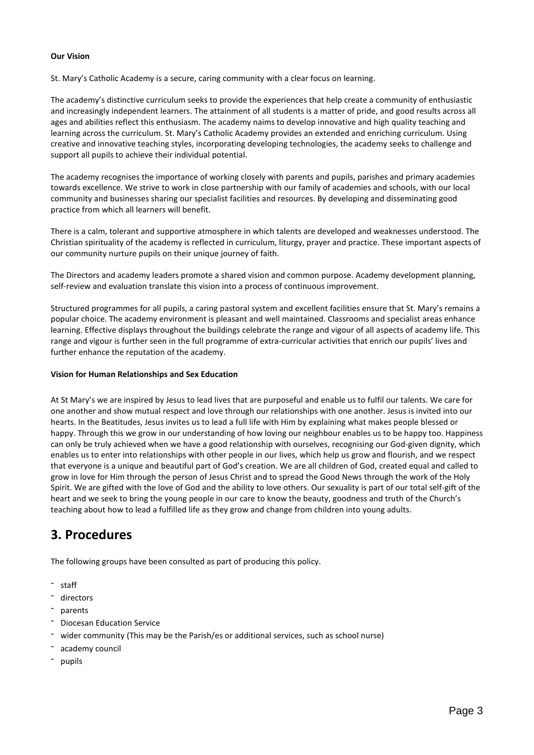#### **Our Vision**

St. Mary's Catholic Academy is a secure, caring community with a clear focus on learning.

The academy's distinctive curriculum seeks to provide the experiences that help create a community of enthusiastic and increasingly independent learners. The attainment of all students is a matter of pride, and good results across all ages and abilities reflect this enthusiasm. The academy naims to develop innovative and high quality teaching and learning across the curriculum. St. Mary's Catholic Academy provides an extended and enriching curriculum. Using creative and innovative teaching styles, incorporating developing technologies, the academy seeks to challenge and support all pupils to achieve their individual potential.

The academy recognises the importance of working closely with parents and pupils, parishes and primary academies towards excellence. We strive to work in close partnership with our family of academies and schools, with our local community and businesses sharing our specialist facilities and resources. By developing and disseminating good practice from which all learners will benefit.

There is a calm, tolerant and supportive atmosphere in which talents are developed and weaknesses understood. The Christian spirituality of the academy is reflected in curriculum, liturgy, prayer and practice. These important aspects of our community nurture pupils on their unique journey of faith.

The Directors and academy leaders promote a shared vision and common purpose. Academy development planning, self-review and evaluation translate this vision into a process of continuous improvement.

Structured programmes for all pupils, a caring pastoral system and excellent facilities ensure that St. Mary's remains a popular choice. The academy environment is pleasant and well maintained. Classrooms and specialist areas enhance learning. Effective displays throughout the buildings celebrate the range and vigour of all aspects of academy life. This range and vigour is further seen in the full programme of extra-curricular activities that enrich our pupils' lives and further enhance the reputation of the academy.

#### **Vision for Human Relationships and Sex Education**

At St Mary's we are inspired by Jesus to lead lives that are purposeful and enable us to fulfil our talents. We care for one another and show mutual respect and love through our relationships with one another. Jesus is invited into our hearts. In the Beatitudes, Jesus invites us to lead a full life with Him by explaining what makes people blessed or happy. Through this we grow in our understanding of how loving our neighbour enables us to be happy too. Happiness can only be truly achieved when we have a good relationship with ourselves, recognising our God-given dignity, which enables us to enter into relationships with other people in our lives, which help us grow and flourish, and we respect that everyone is a unique and beautiful part of God's creation. We are all children of God, created equal and called to grow in love for Him through the person of Jesus Christ and to spread the Good News through the work of the Holy Spirit. We are gifted with the love of God and the ability to love others. Our sexuality is part of our total self-gift of the heart and we seek to bring the young people in our care to know the beauty, goodness and truth of the Church's teaching about how to lead a fulfilled life as they grow and change from children into young adults.

### **3. Procedures**

The following groups have been consulted as part of producing this policy.

- staff
- directors
- parents
- Diocesan Education Service
- wider community (This may be the Parish/es or additional services, such as school nurse)
- academy council
- pupils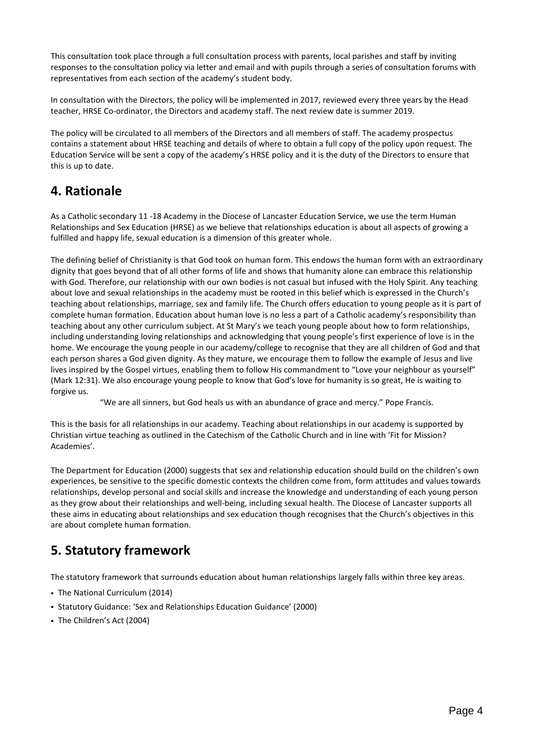This consultation took place through a full consultation process with parents, local parishes and staff by inviting responses to the consultation policy via letter and email and with pupils through a series of consultation forums with representatives from each section of the academy's student body.

In consultation with the Directors, the policy will be implemented in 2017, reviewed every three years by the Head teacher, HRSE Co-ordinator, the Directors and academy staff. The next review date is summer 2019.

The policy will be circulated to all members of the Directors and all members of staff. The academy prospectus contains a statement about HRSE teaching and details of where to obtain a full copy of the policy upon request. The Education Service will be sent a copy of the academy's HRSE policy and it is the duty of the Directors to ensure that this is up to date.

# **4. Rationale**

As a Catholic secondary 11 -18 Academy in the Diocese of Lancaster Education Service, we use the term Human Relationships and Sex Education (HRSE) as we believe that relationships education is about all aspects of growing a fulfilled and happy life, sexual education is a dimension of this greater whole.

The defining belief of Christianity is that God took on human form. This endows the human form with an extraordinary dignity that goes beyond that of all other forms of life and shows that humanity alone can embrace this relationship with God. Therefore, our relationship with our own bodies is not casual but infused with the Holy Spirit. Any teaching about love and sexual relationships in the academy must be rooted in this belief which is expressed in the Church's teaching about relationships, marriage, sex and family life. The Church offers education to young people as it is part of complete human formation. Education about human love is no less a part of a Catholic academy's responsibility than teaching about any other curriculum subject. At St Mary's we teach young people about how to form relationships, including understanding loving relationships and acknowledging that young people's first experience of love is in the home. We encourage the young people in our academy/college to recognise that they are all children of God and that each person shares a God given dignity. As they mature, we encourage them to follow the example of Jesus and live lives inspired by the Gospel virtues, enabling them to follow His commandment to "Love your neighbour as yourself" (Mark 12:31). We also encourage young people to know that God's love for humanity is so great, He is waiting to forgive us.

"We are all sinners, but God heals us with an abundance of grace and mercy." Pope Francis.

This is the basis for all relationships in our academy. Teaching about relationships in our academy is supported by Christian virtue teaching as outlined in the Catechism of the Catholic Church and in line with 'Fit for Mission? Academies'.

The Department for Education (2000) suggests that sex and relationship education should build on the children's own experiences, be sensitive to the specific domestic contexts the children come from, form attitudes and values towards relationships, develop personal and social skills and increase the knowledge and understanding of each young person as they grow about their relationships and well-being, including sexual health. The Diocese of Lancaster supports all these aims in educating about relationships and sex education though recognises that the Church's objectives in this are about complete human formation.

# **5. Statutory framework**

The statutory framework that surrounds education about human relationships largely falls within three key areas.

- The National Curriculum (2014)
- Statutory Guidance: 'Sex and Relationships Education Guidance' (2000)
- The Children's Act (2004)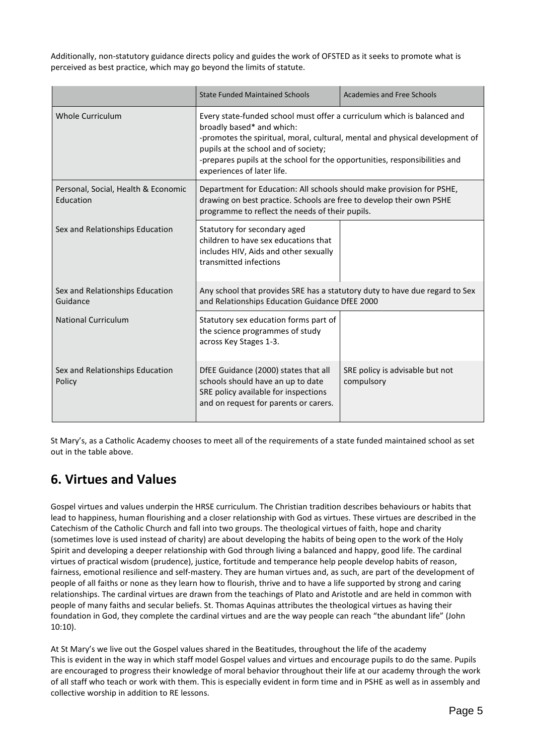Additionally, non-statutory guidance directs policy and guides the work of OFSTED as it seeks to promote what is perceived as best practice, which may go beyond the limits of statute.

|                                                  | <b>State Funded Maintained Schools</b>                                                                                                                                                                                                                                                                                                   | Academies and Free Schools                    |
|--------------------------------------------------|------------------------------------------------------------------------------------------------------------------------------------------------------------------------------------------------------------------------------------------------------------------------------------------------------------------------------------------|-----------------------------------------------|
| Whole Curriculum                                 | Every state-funded school must offer a curriculum which is balanced and<br>broadly based* and which:<br>-promotes the spiritual, moral, cultural, mental and physical development of<br>pupils at the school and of society;<br>-prepares pupils at the school for the opportunities, responsibilities and<br>experiences of later life. |                                               |
| Personal, Social, Health & Economic<br>Education | Department for Education: All schools should make provision for PSHE,<br>drawing on best practice. Schools are free to develop their own PSHE<br>programme to reflect the needs of their pupils.                                                                                                                                         |                                               |
| Sex and Relationships Education                  | Statutory for secondary aged<br>children to have sex educations that<br>includes HIV, Aids and other sexually<br>transmitted infections                                                                                                                                                                                                  |                                               |
| Sex and Relationships Education<br>Guidance      | Any school that provides SRE has a statutory duty to have due regard to Sex<br>and Relationships Education Guidance DfEE 2000                                                                                                                                                                                                            |                                               |
| <b>National Curriculum</b>                       | Statutory sex education forms part of<br>the science programmes of study<br>across Key Stages 1-3.                                                                                                                                                                                                                                       |                                               |
| Sex and Relationships Education<br>Policy        | DfEE Guidance (2000) states that all<br>schools should have an up to date<br>SRE policy available for inspections<br>and on request for parents or carers.                                                                                                                                                                               | SRE policy is advisable but not<br>compulsory |

St Mary's, as a Catholic Academy chooses to meet all of the requirements of a state funded maintained school as set out in the table above.

# **6. Virtues and Values**

Gospel virtues and values underpin the HRSE curriculum. The Christian tradition describes behaviours or habits that lead to happiness, human flourishing and a closer relationship with God as virtues. These virtues are described in the Catechism of the Catholic Church and fall into two groups. The theological virtues of faith, hope and charity (sometimes love is used instead of charity) are about developing the habits of being open to the work of the Holy Spirit and developing a deeper relationship with God through living a balanced and happy, good life. The cardinal virtues of practical wisdom (prudence), justice, fortitude and temperance help people develop habits of reason, fairness, emotional resilience and self-mastery. They are human virtues and, as such, are part of the development of people of all faiths or none as they learn how to flourish, thrive and to have a life supported by strong and caring relationships. The cardinal virtues are drawn from the teachings of Plato and Aristotle and are held in common with people of many faiths and secular beliefs. St. Thomas Aquinas attributes the theological virtues as having their foundation in God, they complete the cardinal virtues and are the way people can reach "the abundant life" (John 10:10).

At St Mary's we live out the Gospel values shared in the Beatitudes, throughout the life of the academy This is evident in the way in which staff model Gospel values and virtues and encourage pupils to do the same. Pupils are encouraged to progress their knowledge of moral behavior throughout their life at our academy through the work of all staff who teach or work with them. This is especially evident in form time and in PSHE as well as in assembly and collective worship in addition to RE lessons.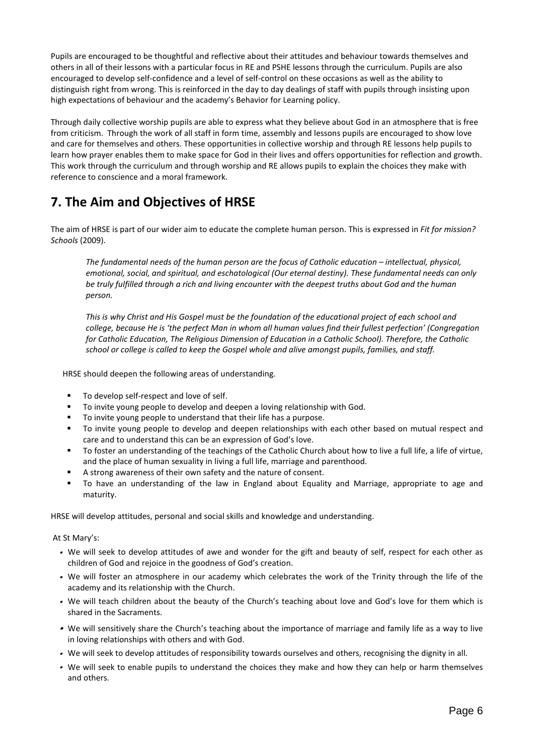Pupils are encouraged to be thoughtful and reflective about their attitudes and behaviour towards themselves and others in all of their lessons with a particular focus in RE and PSHE lessons through the curriculum. Pupils are also encouraged to develop self-confidence and a level of self-control on these occasions as well as the ability to distinguish right from wrong. This is reinforced in the day to day dealings of staff with pupils through insisting upon high expectations of behaviour and the academy's Behavior for Learning policy.

Through daily collective worship pupils are able to express what they believe about God in an atmosphere that is free from criticism. Through the work of all staff in form time, assembly and lessons pupils are encouraged to show love and care for themselves and others. These opportunities in collective worship and through RE lessons help pupils to learn how prayer enables them to make space for God in their lives and offers opportunities for reflection and growth. This work through the curriculum and through worship and RE allows pupils to explain the choices they make with reference to conscience and a moral framework.

# **7. The Aim and Objectives of HRSE**

The aim of HRSE is part of our wider aim to educate the complete human person. This is expressed in *Fit for mission? Schools* (2009).

*The fundamental needs of the human person are the focus of Catholic education – intellectual, physical, emotional, social, and spiritual, and eschatological (Our eternal destiny). These fundamental needs can only* be truly fulfilled through a rich and living encounter with the deepest truths about God and the human *person.*

This is why Christ and His Gospel must be the foundation of the educational project of each school and college, because He is 'the perfect Man in whom all human values find their fullest perfection' (Congregation *for Catholic Education, The Religious Dimension of Education in a Catholic School). Therefore, the Catholic school or college is called to keep the Gospel whole and alive amongst pupils, families, and staff.*

HRSE should deepen the following areas of understanding.

- To develop self-respect and love of self.
- To invite young people to develop and deepen a loving relationship with God.
- To invite young people to understand that their life has a purpose.
- To invite young people to develop and deepen relationships with each other based on mutual respect and care and to understand this can be an expression of God's love.
- To foster an understanding of the teachings of the Catholic Church about how to live a full life, a life of virtue, and the place of human sexuality in living a full life, marriage and parenthood.
- A strong awareness of their own safety and the nature of consent.
- To have an understanding of the law in England about Equality and Marriage, appropriate to age and maturity.

HRSE will develop attitudes, personal and social skills and knowledge and understanding.

#### At St Mary's:

- We will seek to develop attitudes of awe and wonder for the gift and beauty of self, respect for each other as children of God and rejoice in the goodness of God's creation.
- We will foster an atmosphere in our academy which celebrates the work of the Trinity through the life of the academy and its relationship with the Church.
- We will teach children about the beauty of the Church's teaching about love and God's love for them which is shared in the Sacraments.
- We will sensitively share the Church's teaching about the importance of marriage and family life as a way to live in loving relationships with others and with God.
- We will seek to develop attitudes of responsibility towards ourselves and others, recognising the dignity in all.
- We will seek to enable pupils to understand the choices they make and how they can help or harm themselves and others.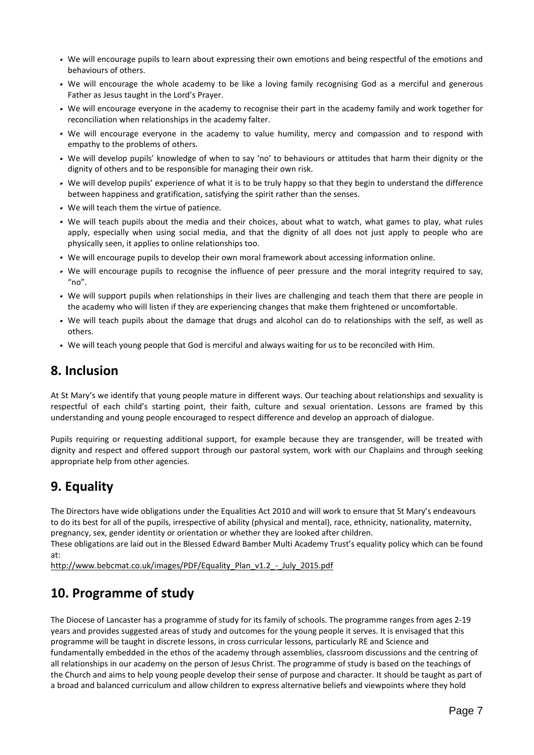- We will encourage pupils to learn about expressing their own emotions and being respectful of the emotions and behaviours of others.
- We will encourage the whole academy to be like a loving family recognising God as a merciful and generous Father as Jesus taught in the Lord's Prayer.
- We will encourage everyone in the academy to recognise their part in the academy family and work together for reconciliation when relationships in the academy falter.
- We will encourage everyone in the academy to value humility, mercy and compassion and to respond with empathy to the problems of others.
- We will develop pupils' knowledge of when to say 'no' to behaviours or attitudes that harm their dignity or the dignity of others and to be responsible for managing their own risk.
- We will develop pupils' experience of what it is to be truly happy so that they begin to understand the difference between happiness and gratification, satisfying the spirit rather than the senses.
- We will teach them the virtue of patience.
- We will teach pupils about the media and their choices, about what to watch, what games to play, what rules apply, especially when using social media, and that the dignity of all does not just apply to people who are physically seen, it applies to online relationships too.
- We will encourage pupils to develop their own moral framework about accessing information online.
- We will encourage pupils to recognise the influence of peer pressure and the moral integrity required to say, " $no$ ".
- We will support pupils when relationships in their lives are challenging and teach them that there are people in the academy who will listen if they are experiencing changes that make them frightened or uncomfortable.
- We will teach pupils about the damage that drugs and alcohol can do to relationships with the self, as well as others.
- We will teach young people that God is merciful and always waiting for us to be reconciled with Him.

### **8. Inclusion**

At St Mary's we identify that young people mature in different ways. Our teaching about relationships and sexuality is respectful of each child's starting point, their faith, culture and sexual orientation. Lessons are framed by this understanding and young people encouraged to respect difference and develop an approach of dialogue.

Pupils requiring or requesting additional support, for example because they are transgender, will be treated with dignity and respect and offered support through our pastoral system, work with our Chaplains and through seeking appropriate help from other agencies.

# **9. Equality**

The Directors have wide obligations under the Equalities Act 2010 and will work to ensure that St Mary's endeavours to do its best for all of the pupils, irrespective of ability (physical and mental), race, ethnicity, nationality, maternity, pregnancy, sex, gender identity or orientation or whether they are looked after children.

These obligations are laid out in the Blessed Edward Bamber Multi Academy Trust's equality policy which can be found at:

[http://www.bebcmat.co.uk/images/PDF/Equality\\_Plan\\_v1.2\\_-\\_July\\_2015.pdf](http://www.bebcmat.co.uk/images/PDF/Equality_Plan_v1.2_-_July_2015.pdf)

# **10. Programme of study**

The Diocese of Lancaster has a programme of study for its family of schools. The programme ranges from ages 2-19 years and provides suggested areas of study and outcomes for the young people it serves. It is envisaged that this programme will be taught in discrete lessons, in cross curricular lessons, particularly RE and Science and fundamentally embedded in the ethos of the academy through assemblies, classroom discussions and the centring of all relationships in our academy on the person of Jesus Christ. The programme of study is based on the teachings of the Church and aims to help young people develop their sense of purpose and character. It should be taught as part of a broad and balanced curriculum and allow children to express alternative beliefs and viewpoints where they hold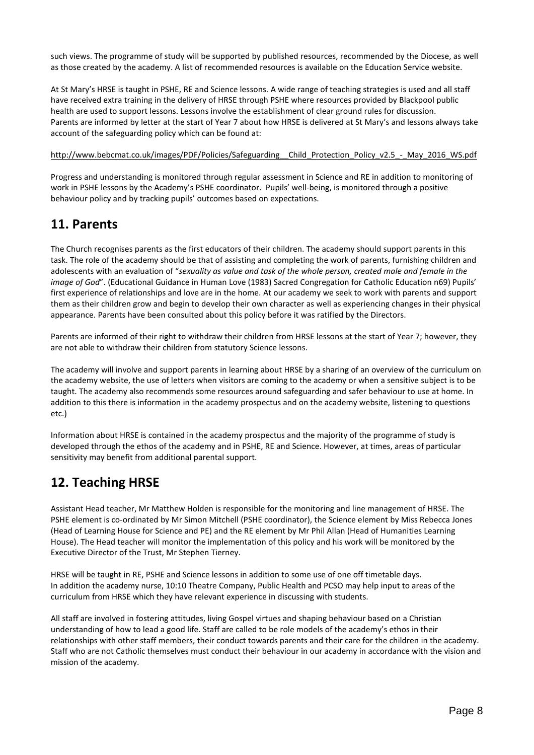such views. The programme of study will be supported by published resources, recommended by the Diocese, as well as those created by the academy. A list of recommended resources is available on the Education Service website.

At St Mary's HRSE is taught in PSHE, RE and Science lessons. A wide range of teaching strategies is used and all staff have received extra training in the delivery of HRSE through PSHE where resources provided by Blackpool public health are used to support lessons. Lessons involve the establishment of clear ground rules for discussion. Parents are informed by letter at the start of Year 7 about how HRSE is delivered at St Mary's and lessons always take account of the safeguarding policy which can be found at:

#### [http://www.bebcmat.co.uk/images/PDF/Policies/Safeguarding\\_\\_Child\\_Protection\\_Policy\\_v2.5\\_-\\_May\\_2016\\_WS.pdf](http://www.bebcmat.co.uk/images/PDF/Policies/Safeguarding__Child_Protection_Policy_v2.5_-_May_2016_WS.pdf)

Progress and understanding is monitored through regular assessment in Science and RE in addition to monitoring of work in PSHE lessons by the Academy's PSHE coordinator. Pupils' well-being, is monitored through a positive behaviour policy and by tracking pupils' outcomes based on expectations.

#### **11. Parents**

The Church recognises parents as the first educators of their children. The academy should support parents in this task. The role of the academy should be that of assisting and completing the work of parents, furnishing children and adolescents with an evaluation of "*sexuality as value and task of the whole person, created male and female in the image of God*". (Educational Guidance in Human Love (1983) Sacred Congregation for Catholic Education n69) Pupils' first experience of relationships and love are in the home. At our academy we seek to work with parents and support them as their children grow and begin to develop their own character as well as experiencing changes in their physical appearance. Parents have been consulted about this policy before it was ratified by the Directors.

Parents are informed of their right to withdraw their children from HRSE lessons at the start of Year 7; however, they are not able to withdraw their children from statutory Science lessons.

The academy will involve and support parents in learning about HRSE by a sharing of an overview of the curriculum on the academy website, the use of letters when visitors are coming to the academy or when a sensitive subject is to be taught. The academy also recommends some resources around safeguarding and safer behaviour to use at home. In addition to this there is information in the academy prospectus and on the academy website, listening to questions etc.)

Information about HRSE is contained in the academy prospectus and the majority of the programme of study is developed through the ethos of the academy and in PSHE, RE and Science. However, at times, areas of particular sensitivity may benefit from additional parental support.

### **12. Teaching HRSE**

Assistant Head teacher, Mr Matthew Holden is responsible for the monitoring and line management of HRSE. The PSHE element is co-ordinated by Mr Simon Mitchell (PSHE coordinator), the Science element by Miss Rebecca Jones (Head of Learning House for Science and PE) and the RE element by Mr Phil Allan (Head of Humanities Learning House). The Head teacher will monitor the implementation of this policy and his work will be monitored by the Executive Director of the Trust, Mr Stephen Tierney.

HRSE will be taught in RE, PSHE and Science lessons in addition to some use of one off timetable days. In addition the academy nurse, 10:10 Theatre Company, Public Health and PCSO may help input to areas of the curriculum from HRSE which they have relevant experience in discussing with students.

All staff are involved in fostering attitudes, living Gospel virtues and shaping behaviour based on a Christian understanding of how to lead a good life. Staff are called to be role models of the academy's ethos in their relationships with other staff members, their conduct towards parents and their care for the children in the academy. Staff who are not Catholic themselves must conduct their behaviour in our academy in accordance with the vision and mission of the academy.